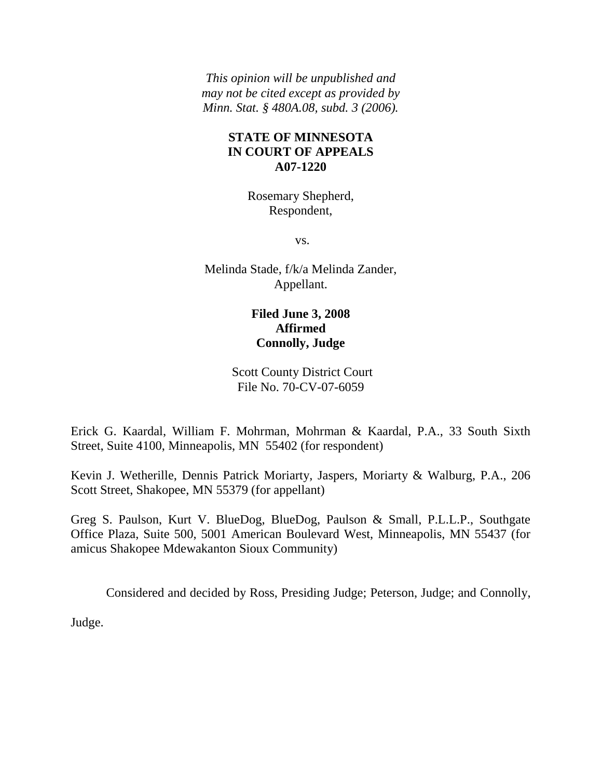*This opinion will be unpublished and may not be cited except as provided by Minn. Stat. § 480A.08, subd. 3 (2006).*

## **STATE OF MINNESOTA IN COURT OF APPEALS A07-1220**

Rosemary Shepherd, Respondent,

vs.

Melinda Stade, f/k/a Melinda Zander, Appellant.

# **Filed June 3, 2008 Affirmed Connolly, Judge**

Scott County District Court File No. 70-CV-07-6059

Erick G. Kaardal, William F. Mohrman, Mohrman & Kaardal, P.A., 33 South Sixth Street, Suite 4100, Minneapolis, MN 55402 (for respondent)

Kevin J. Wetherille, Dennis Patrick Moriarty, Jaspers, Moriarty & Walburg, P.A., 206 Scott Street, Shakopee, MN 55379 (for appellant)

Greg S. Paulson, Kurt V. BlueDog, BlueDog, Paulson & Small, P.L.L.P., Southgate Office Plaza, Suite 500, 5001 American Boulevard West, Minneapolis, MN 55437 (for amicus Shakopee Mdewakanton Sioux Community)

Considered and decided by Ross, Presiding Judge; Peterson, Judge; and Connolly,

Judge.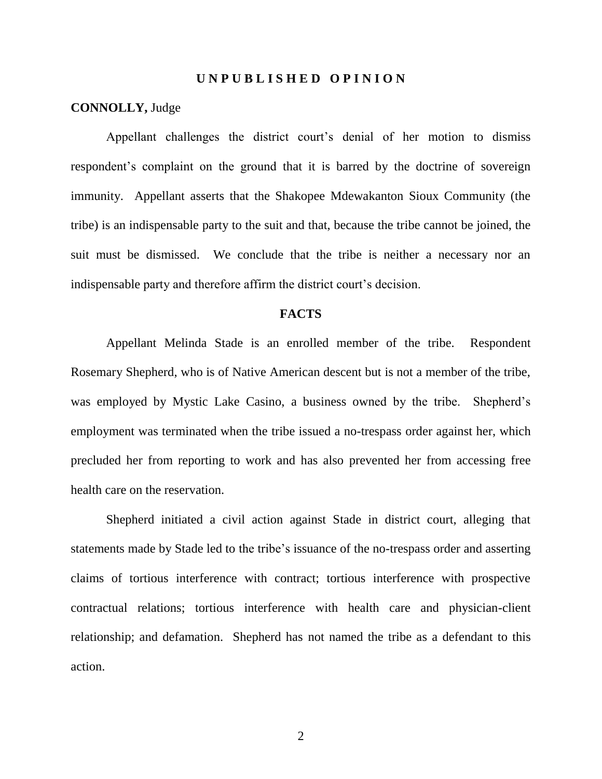#### **U N P U B L I S H E D O P I N I O N**

#### **CONNOLLY,** Judge

Appellant challenges the district court"s denial of her motion to dismiss respondent's complaint on the ground that it is barred by the doctrine of sovereign immunity. Appellant asserts that the Shakopee Mdewakanton Sioux Community (the tribe) is an indispensable party to the suit and that, because the tribe cannot be joined, the suit must be dismissed. We conclude that the tribe is neither a necessary nor an indispensable party and therefore affirm the district court's decision.

#### **FACTS**

Appellant Melinda Stade is an enrolled member of the tribe. Respondent Rosemary Shepherd, who is of Native American descent but is not a member of the tribe, was employed by Mystic Lake Casino, a business owned by the tribe. Shepherd's employment was terminated when the tribe issued a no-trespass order against her, which precluded her from reporting to work and has also prevented her from accessing free health care on the reservation.

Shepherd initiated a civil action against Stade in district court, alleging that statements made by Stade led to the tribe"s issuance of the no-trespass order and asserting claims of tortious interference with contract; tortious interference with prospective contractual relations; tortious interference with health care and physician-client relationship; and defamation. Shepherd has not named the tribe as a defendant to this action.

2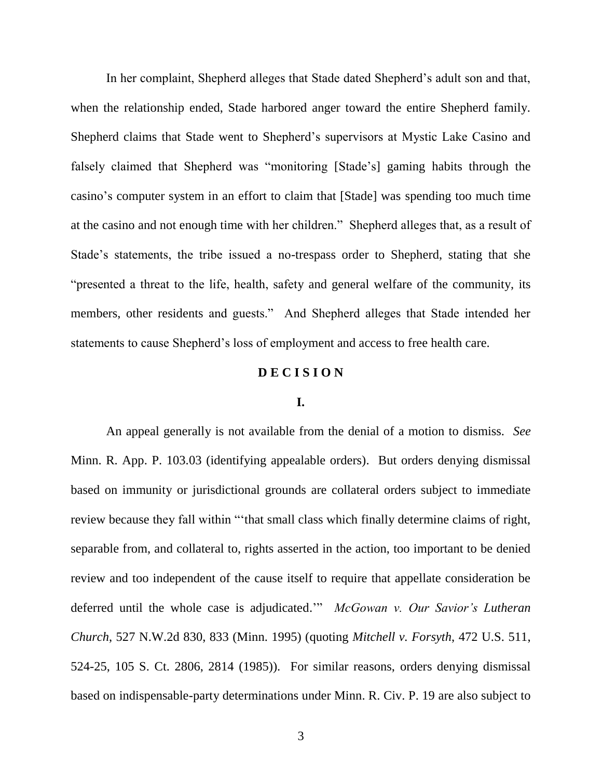In her complaint, Shepherd alleges that Stade dated Shepherd"s adult son and that, when the relationship ended, Stade harbored anger toward the entire Shepherd family. Shepherd claims that Stade went to Shepherd"s supervisors at Mystic Lake Casino and falsely claimed that Shepherd was "monitoring [Stade"s] gaming habits through the casino"s computer system in an effort to claim that [Stade] was spending too much time at the casino and not enough time with her children." Shepherd alleges that, as a result of Stade"s statements, the tribe issued a no-trespass order to Shepherd, stating that she "presented a threat to the life, health, safety and general welfare of the community, its members, other residents and guests." And Shepherd alleges that Stade intended her statements to cause Shepherd"s loss of employment and access to free health care.

### **D E C I S I O N**

#### **I.**

An appeal generally is not available from the denial of a motion to dismiss. *See*  Minn. R. App. P. 103.03 (identifying appealable orders). But orders denying dismissal based on immunity or jurisdictional grounds are collateral orders subject to immediate review because they fall within ""that small class which finally determine claims of right, separable from, and collateral to, rights asserted in the action, too important to be denied review and too independent of the cause itself to require that appellate consideration be deferred until the whole case is adjudicated."" *McGowan v. Our Savior's Lutheran Church*, 527 N.W.2d 830, 833 (Minn. 1995) (quoting *Mitchell v. Forsyth*, 472 U.S. 511, 524-25, 105 S. Ct. 2806, 2814 (1985)). For similar reasons, orders denying dismissal based on indispensable-party determinations under Minn. R. Civ. P. 19 are also subject to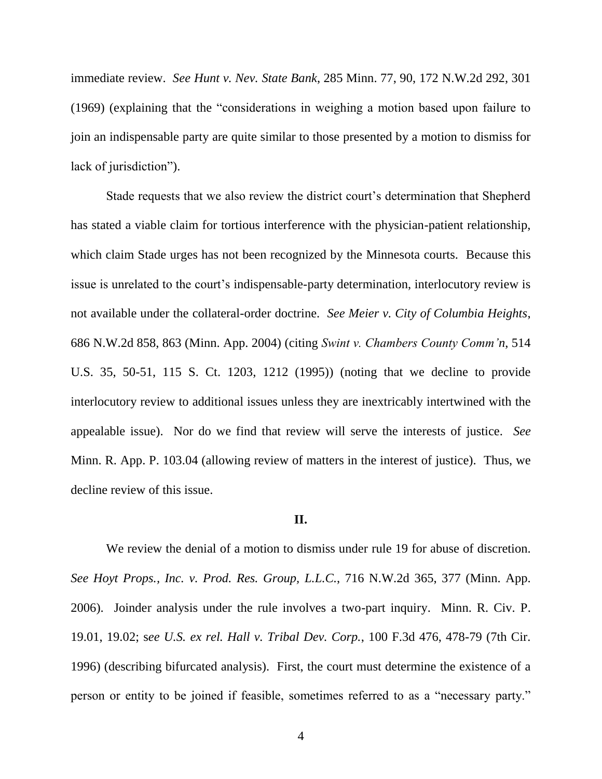immediate review. *See Hunt v. Nev. State Bank*, 285 Minn. 77, 90, 172 N.W.2d 292, 301 (1969) (explaining that the "considerations in weighing a motion based upon failure to join an indispensable party are quite similar to those presented by a motion to dismiss for lack of jurisdiction").

Stade requests that we also review the district court's determination that Shepherd has stated a viable claim for tortious interference with the physician-patient relationship, which claim Stade urges has not been recognized by the Minnesota courts. Because this issue is unrelated to the court's indispensable-party determination, interlocutory review is not available under the collateral-order doctrine. *See Meier v. City of Columbia Heights*, 686 N.W.2d 858, 863 (Minn. App. 2004) (citing *Swint v. Chambers County Comm'n*, 514 U.S. 35, 50-51, 115 S. Ct. 1203, 1212 (1995)) (noting that we decline to provide interlocutory review to additional issues unless they are inextricably intertwined with the appealable issue). Nor do we find that review will serve the interests of justice. *See*  Minn. R. App. P. 103.04 (allowing review of matters in the interest of justice). Thus, we decline review of this issue.

#### **II.**

We review the denial of a motion to dismiss under rule 19 for abuse of discretion. *See Hoyt Props., Inc. v. Prod. Res. Group, L.L.C.*, 716 N.W.2d 365, 377 (Minn. App. 2006). Joinder analysis under the rule involves a two-part inquiry. Minn. R. Civ. P. 19.01, 19.02; s*ee U.S. ex rel. Hall v. Tribal Dev. Corp.*, 100 F.3d 476, 478-79 (7th Cir. 1996) (describing bifurcated analysis). First, the court must determine the existence of a person or entity to be joined if feasible, sometimes referred to as a "necessary party."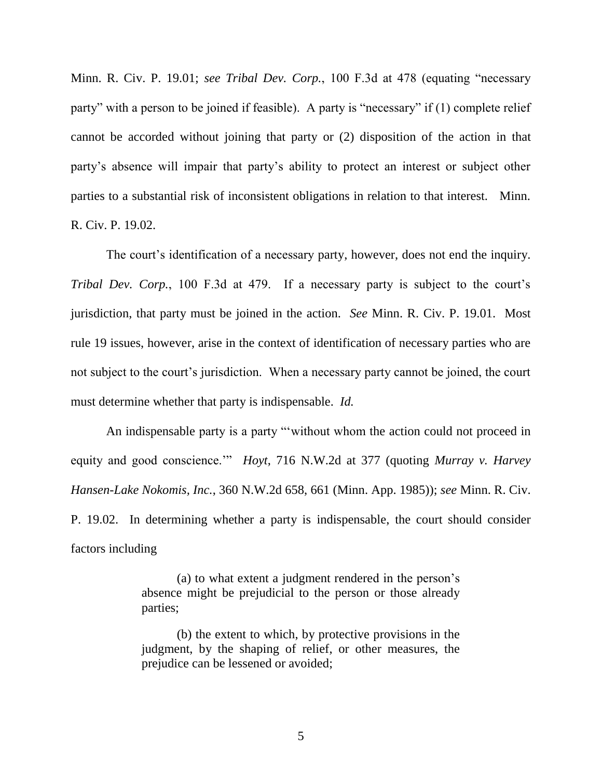Minn. R. Civ. P. 19.01; *see Tribal Dev. Corp.*, 100 F.3d at 478 (equating "necessary party" with a person to be joined if feasible). A party is "necessary" if (1) complete relief cannot be accorded without joining that party or (2) disposition of the action in that party"s absence will impair that party"s ability to protect an interest or subject other parties to a substantial risk of inconsistent obligations in relation to that interest. Minn. R. Civ. P. 19.02.

The court's identification of a necessary party, however, does not end the inquiry. *Tribal Dev. Corp.*, 100 F.3d at 479. If a necessary party is subject to the court's jurisdiction, that party must be joined in the action. *See* Minn. R. Civ. P. 19.01. Most rule 19 issues, however, arise in the context of identification of necessary parties who are not subject to the court"s jurisdiction. When a necessary party cannot be joined, the court must determine whether that party is indispensable. *Id.*

An indispensable party is a party "without whom the action could not proceed in equity and good conscience."" *Hoyt*, 716 N.W.2d at 377 (quoting *Murray v. Harvey Hansen-Lake Nokomis, Inc.*, 360 N.W.2d 658, 661 (Minn. App. 1985)); *see* Minn. R. Civ. P. 19.02. In determining whether a party is indispensable, the court should consider factors including

> (a) to what extent a judgment rendered in the person"s absence might be prejudicial to the person or those already parties;

> (b) the extent to which, by protective provisions in the judgment, by the shaping of relief, or other measures, the prejudice can be lessened or avoided;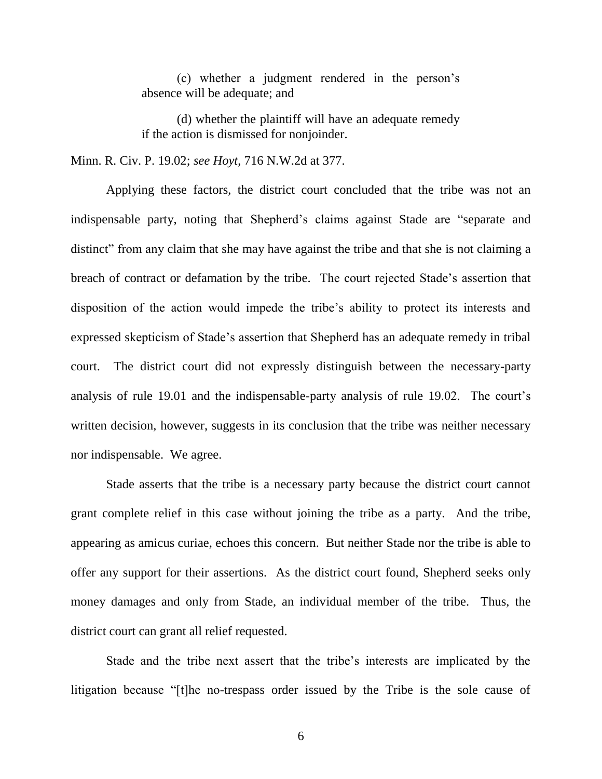(c) whether a judgment rendered in the person"s absence will be adequate; and

(d) whether the plaintiff will have an adequate remedy if the action is dismissed for nonjoinder.

Minn. R. Civ. P. 19.02; *see Hoyt*, 716 N.W.2d at 377.

Applying these factors, the district court concluded that the tribe was not an indispensable party, noting that Shepherd's claims against Stade are "separate and distinct" from any claim that she may have against the tribe and that she is not claiming a breach of contract or defamation by the tribe. The court rejected Stade"s assertion that disposition of the action would impede the tribe"s ability to protect its interests and expressed skepticism of Stade"s assertion that Shepherd has an adequate remedy in tribal court. The district court did not expressly distinguish between the necessary-party analysis of rule 19.01 and the indispensable-party analysis of rule 19.02. The court's written decision, however, suggests in its conclusion that the tribe was neither necessary nor indispensable. We agree.

Stade asserts that the tribe is a necessary party because the district court cannot grant complete relief in this case without joining the tribe as a party. And the tribe, appearing as amicus curiae, echoes this concern. But neither Stade nor the tribe is able to offer any support for their assertions. As the district court found, Shepherd seeks only money damages and only from Stade, an individual member of the tribe. Thus, the district court can grant all relief requested.

Stade and the tribe next assert that the tribe"s interests are implicated by the litigation because "[t]he no-trespass order issued by the Tribe is the sole cause of

6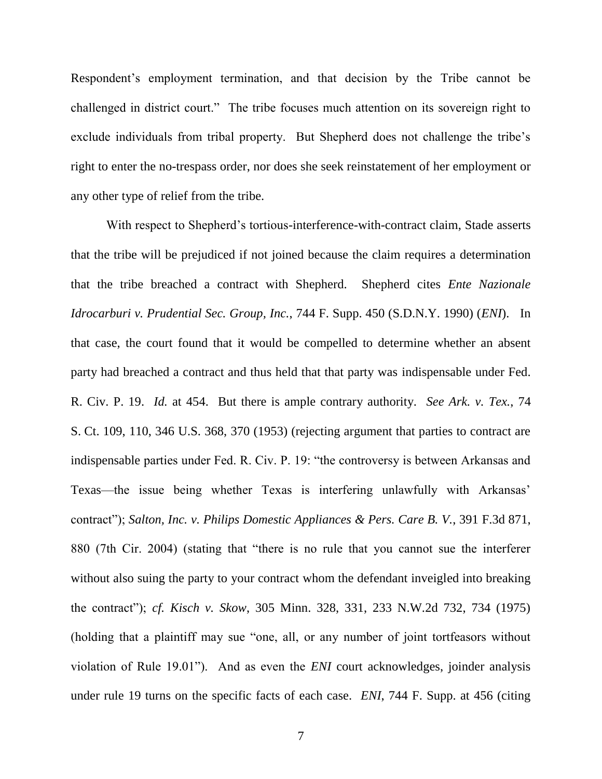Respondent"s employment termination, and that decision by the Tribe cannot be challenged in district court." The tribe focuses much attention on its sovereign right to exclude individuals from tribal property. But Shepherd does not challenge the tribe's right to enter the no-trespass order, nor does she seek reinstatement of her employment or any other type of relief from the tribe.

With respect to Shepherd"s tortious-interference-with-contract claim, Stade asserts that the tribe will be prejudiced if not joined because the claim requires a determination that the tribe breached a contract with Shepherd. Shepherd cites *Ente Nazionale Idrocarburi v. Prudential Sec. Group, Inc.*, 744 F. Supp. 450 (S.D.N.Y. 1990) (*ENI*). In that case, the court found that it would be compelled to determine whether an absent party had breached a contract and thus held that that party was indispensable under Fed. R. Civ. P. 19. *Id.* at 454. But there is ample contrary authority. *See Ark. v. Tex.*, 74 S. Ct. 109, 110, 346 U.S. 368, 370 (1953) (rejecting argument that parties to contract are indispensable parties under Fed. R. Civ. P. 19: "the controversy is between Arkansas and Texas—the issue being whether Texas is interfering unlawfully with Arkansas' contract"); *Salton, Inc. v. Philips Domestic Appliances & Pers. Care B. V.*, 391 F.3d 871, 880 (7th Cir. 2004) (stating that "there is no rule that you cannot sue the interferer without also suing the party to your contract whom the defendant inveigled into breaking the contract"); *cf. Kisch v. Skow*, 305 Minn. 328, 331, 233 N.W.2d 732, 734 (1975) (holding that a plaintiff may sue "one, all, or any number of joint tortfeasors without violation of Rule 19.01"). And as even the *ENI* court acknowledges, joinder analysis under rule 19 turns on the specific facts of each case. *ENI*, 744 F. Supp. at 456 (citing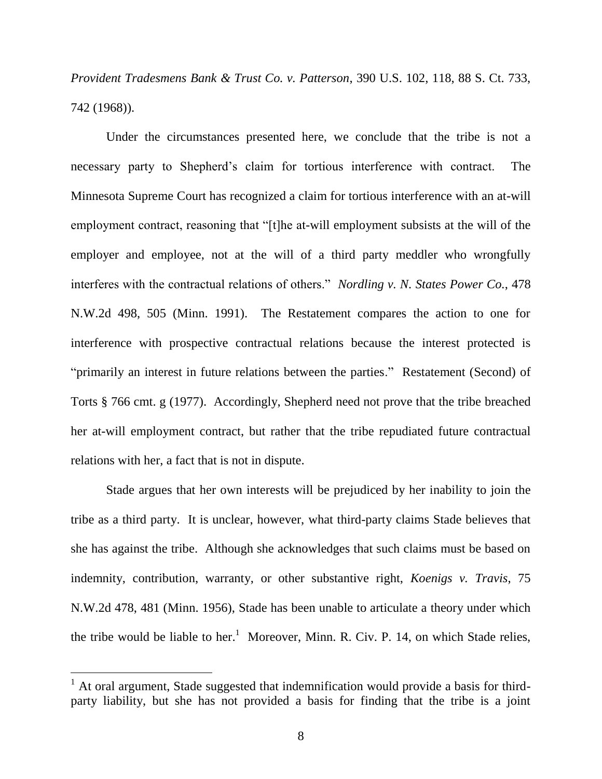*Provident Tradesmens Bank & Trust Co. v. Patterson*, 390 U.S. 102, 118, 88 S. Ct. 733, 742 (1968)).

Under the circumstances presented here, we conclude that the tribe is not a necessary party to Shepherd"s claim for tortious interference with contract. The Minnesota Supreme Court has recognized a claim for tortious interference with an at-will employment contract, reasoning that "[t]he at-will employment subsists at the will of the employer and employee, not at the will of a third party meddler who wrongfully interferes with the contractual relations of others." *Nordling v. N. States Power Co.*, 478 N.W.2d 498, 505 (Minn. 1991). The Restatement compares the action to one for interference with prospective contractual relations because the interest protected is "primarily an interest in future relations between the parties." Restatement (Second) of Torts § 766 cmt. g (1977). Accordingly, Shepherd need not prove that the tribe breached her at-will employment contract, but rather that the tribe repudiated future contractual relations with her, a fact that is not in dispute.

Stade argues that her own interests will be prejudiced by her inability to join the tribe as a third party. It is unclear, however, what third-party claims Stade believes that she has against the tribe. Although she acknowledges that such claims must be based on indemnity, contribution, warranty, or other substantive right, *Koenigs v. Travis*, 75 N.W.2d 478, 481 (Minn. 1956), Stade has been unable to articulate a theory under which the tribe would be liable to her.<sup>1</sup> Moreover, Minn. R. Civ. P. 14, on which Stade relies,

 $\overline{a}$ 

 $<sup>1</sup>$  At oral argument, Stade suggested that indemnification would provide a basis for third-</sup> party liability, but she has not provided a basis for finding that the tribe is a joint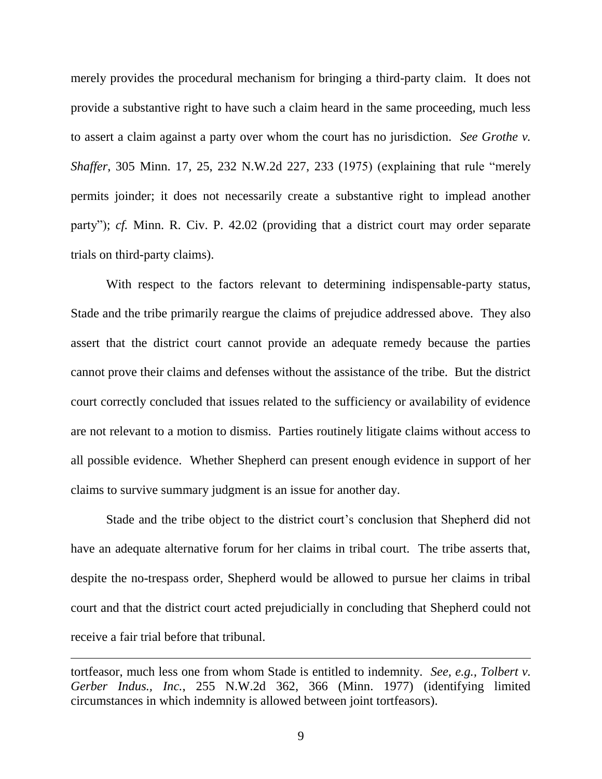merely provides the procedural mechanism for bringing a third-party claim. It does not provide a substantive right to have such a claim heard in the same proceeding, much less to assert a claim against a party over whom the court has no jurisdiction. *See Grothe v. Shaffer*, 305 Minn. 17, 25, 232 N.W.2d 227, 233 (1975) (explaining that rule "merely permits joinder; it does not necessarily create a substantive right to implead another party"); *cf.* Minn. R. Civ. P. 42.02 (providing that a district court may order separate trials on third-party claims).

With respect to the factors relevant to determining indispensable-party status, Stade and the tribe primarily reargue the claims of prejudice addressed above. They also assert that the district court cannot provide an adequate remedy because the parties cannot prove their claims and defenses without the assistance of the tribe. But the district court correctly concluded that issues related to the sufficiency or availability of evidence are not relevant to a motion to dismiss. Parties routinely litigate claims without access to all possible evidence. Whether Shepherd can present enough evidence in support of her claims to survive summary judgment is an issue for another day.

Stade and the tribe object to the district court's conclusion that Shepherd did not have an adequate alternative forum for her claims in tribal court. The tribe asserts that, despite the no-trespass order, Shepherd would be allowed to pursue her claims in tribal court and that the district court acted prejudicially in concluding that Shepherd could not receive a fair trial before that tribunal.

tortfeasor, much less one from whom Stade is entitled to indemnity. *See, e.g., Tolbert v. Gerber Indus., Inc.*, 255 N.W.2d 362, 366 (Minn. 1977) (identifying limited circumstances in which indemnity is allowed between joint tortfeasors).